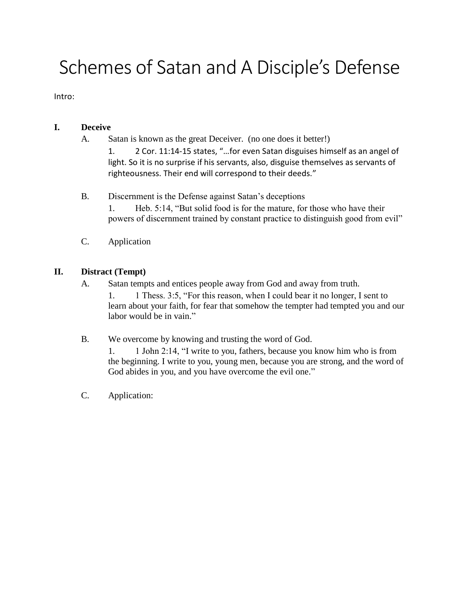# Schemes of Satan and A Disciple's Defense

Intro:

## **I. Deceive**

A. Satan is known as the great Deceiver. (no one does it better!)

1. 2 Cor. 11:14-15 states, "…for even Satan disguises himself as an angel of light. So it is no surprise if his servants, also, disguise themselves as servants of righteousness. Their end will correspond to their deeds."

- B. Discernment is the Defense against Satan's deceptions
	- 1. Heb. 5:14, "But solid food is for the mature, for those who have their powers of discernment trained by constant practice to distinguish good from evil"
- C. Application

## **II. Distract (Tempt)**

- A. Satan tempts and entices people away from God and away from truth. 1. 1 Thess. 3:5, "For this reason, when I could bear it no longer, I sent to learn about your faith, for fear that somehow the tempter had tempted you and our labor would be in vain."
- B. We overcome by knowing and trusting the word of God.

1. 1 John 2:14, "I write to you, fathers, because you know him who is from the beginning. I write to you, young men, because you are strong, and the word of God abides in you, and you have overcome the evil one."

C. Application: